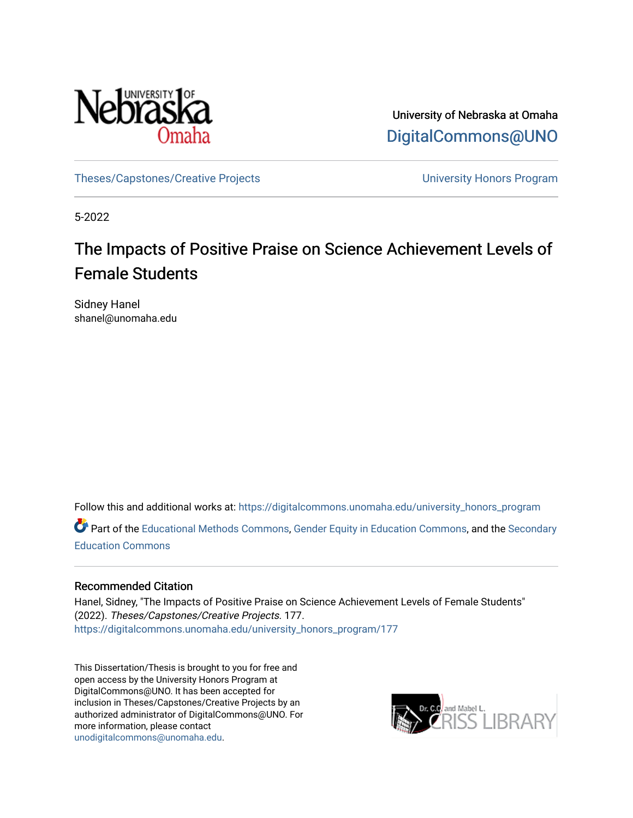

University of Nebraska at Omaha [DigitalCommons@UNO](https://digitalcommons.unomaha.edu/) 

[Theses/Capstones/Creative Projects](https://digitalcommons.unomaha.edu/university_honors_program) [University Honors Program](https://digitalcommons.unomaha.edu/honors_community) 

5-2022

# The Impacts of Positive Praise on Science Achievement Levels of Female Students

Sidney Hanel shanel@unomaha.edu

Follow this and additional works at: [https://digitalcommons.unomaha.edu/university\\_honors\\_program](https://digitalcommons.unomaha.edu/university_honors_program?utm_source=digitalcommons.unomaha.edu%2Funiversity_honors_program%2F177&utm_medium=PDF&utm_campaign=PDFCoverPages)

Part of the [Educational Methods Commons,](https://network.bepress.com/hgg/discipline/1227?utm_source=digitalcommons.unomaha.edu%2Funiversity_honors_program%2F177&utm_medium=PDF&utm_campaign=PDFCoverPages) [Gender Equity in Education Commons,](https://network.bepress.com/hgg/discipline/1376?utm_source=digitalcommons.unomaha.edu%2Funiversity_honors_program%2F177&utm_medium=PDF&utm_campaign=PDFCoverPages) and the [Secondary](https://network.bepress.com/hgg/discipline/1382?utm_source=digitalcommons.unomaha.edu%2Funiversity_honors_program%2F177&utm_medium=PDF&utm_campaign=PDFCoverPages)  [Education Commons](https://network.bepress.com/hgg/discipline/1382?utm_source=digitalcommons.unomaha.edu%2Funiversity_honors_program%2F177&utm_medium=PDF&utm_campaign=PDFCoverPages) 

### Recommended Citation

Hanel, Sidney, "The Impacts of Positive Praise on Science Achievement Levels of Female Students" (2022). Theses/Capstones/Creative Projects. 177. [https://digitalcommons.unomaha.edu/university\\_honors\\_program/177](https://digitalcommons.unomaha.edu/university_honors_program/177?utm_source=digitalcommons.unomaha.edu%2Funiversity_honors_program%2F177&utm_medium=PDF&utm_campaign=PDFCoverPages)

This Dissertation/Thesis is brought to you for free and open access by the University Honors Program at DigitalCommons@UNO. It has been accepted for inclusion in Theses/Capstones/Creative Projects by an authorized administrator of DigitalCommons@UNO. For more information, please contact [unodigitalcommons@unomaha.edu.](mailto:unodigitalcommons@unomaha.edu)

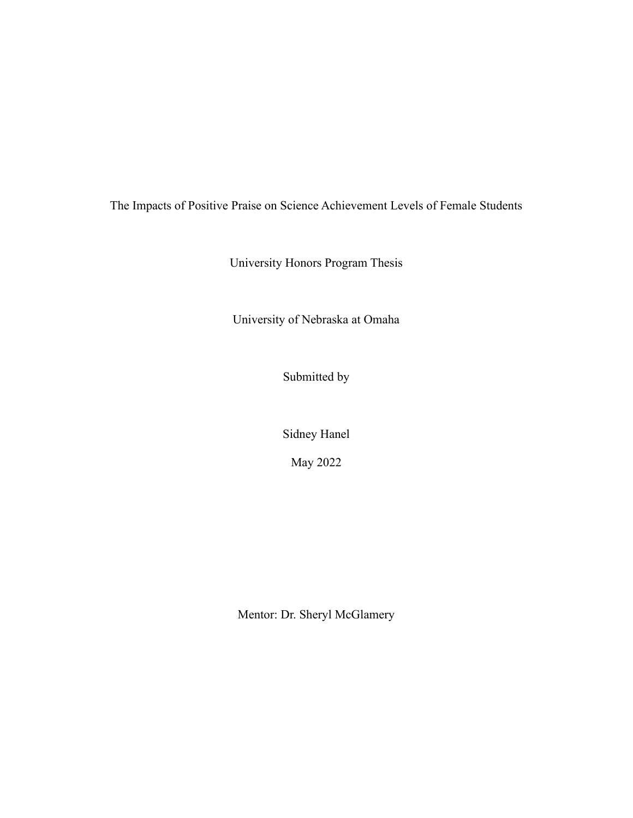The Impacts of Positive Praise on Science Achievement Levels of Female Students

University Honors Program Thesis

University of Nebraska at Omaha

Submitted by

Sidney Hanel

May 2022

Mentor: Dr. Sheryl McGlamery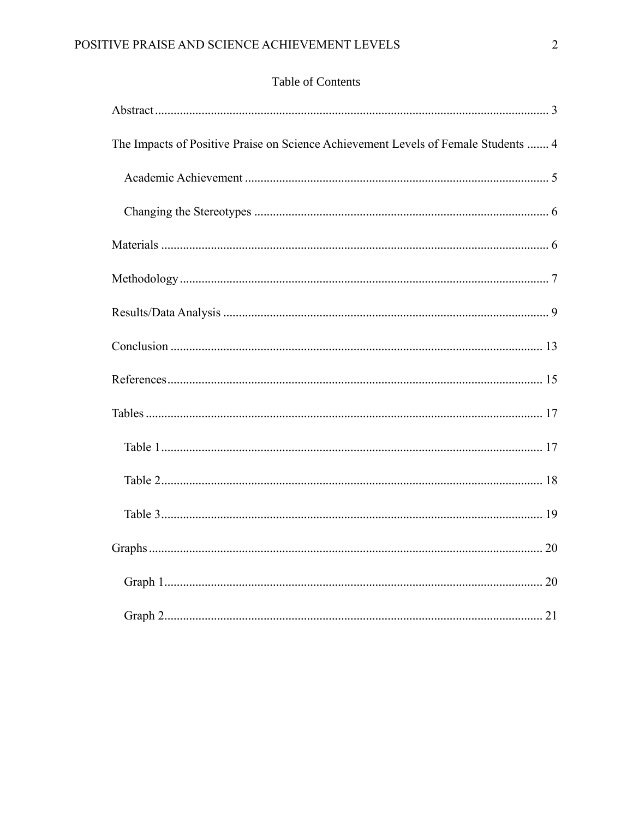## Table of Contents

| The Impacts of Positive Praise on Science Achievement Levels of Female Students  4 |
|------------------------------------------------------------------------------------|
|                                                                                    |
|                                                                                    |
|                                                                                    |
|                                                                                    |
|                                                                                    |
|                                                                                    |
|                                                                                    |
|                                                                                    |
|                                                                                    |
|                                                                                    |
|                                                                                    |
|                                                                                    |
|                                                                                    |
|                                                                                    |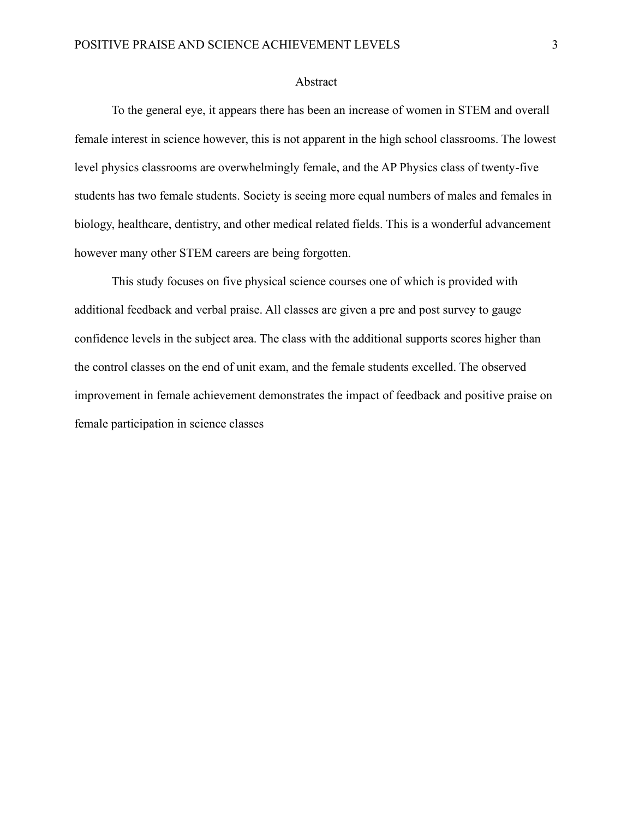#### Abstract

<span id="page-3-0"></span>To the general eye, it appears there has been an increase of women in STEM and overall female interest in science however, this is not apparent in the high school classrooms. The lowest level physics classrooms are overwhelmingly female, and the AP Physics class of twenty-five students has two female students. Society is seeing more equal numbers of males and females in biology, healthcare, dentistry, and other medical related fields. This is a wonderful advancement however many other STEM careers are being forgotten.

This study focuses on five physical science courses one of which is provided with additional feedback and verbal praise. All classes are given a pre and post survey to gauge confidence levels in the subject area. The class with the additional supports scores higher than the control classes on the end of unit exam, and the female students excelled. The observed improvement in female achievement demonstrates the impact of feedback and positive praise on female participation in science classes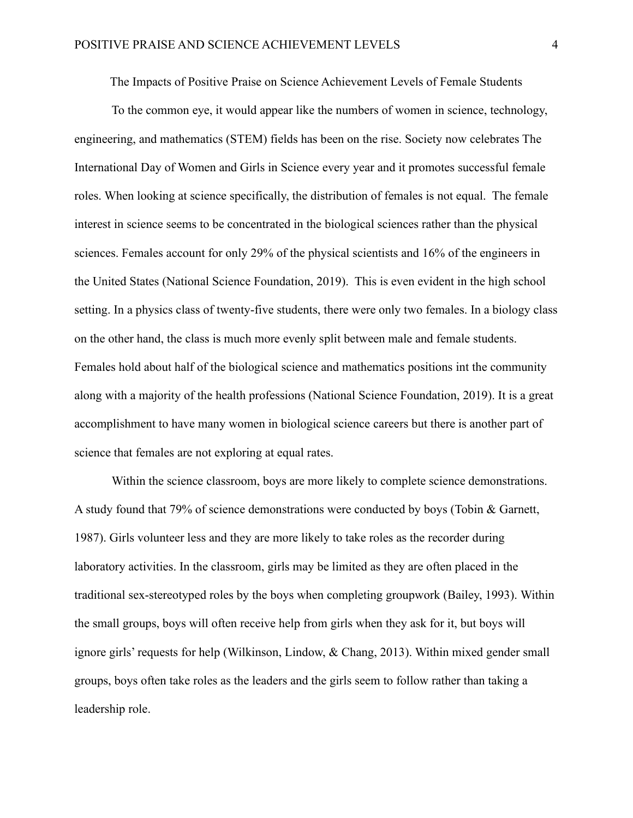The Impacts of Positive Praise on Science Achievement Levels of Female Students

<span id="page-4-0"></span>To the common eye, it would appear like the numbers of women in science, technology, engineering, and mathematics (STEM) fields has been on the rise. Society now celebrates The International Day of Women and Girls in Science every year and it promotes successful female roles. When looking at science specifically, the distribution of females is not equal. The female interest in science seems to be concentrated in the biological sciences rather than the physical sciences. Females account for only 29% of the physical scientists and 16% of the engineers in the United States (National Science Foundation, 2019). This is even evident in the high school setting. In a physics class of twenty-five students, there were only two females. In a biology class on the other hand, the class is much more evenly split between male and female students. Females hold about half of the biological science and mathematics positions int the community along with a majority of the health professions (National Science Foundation, 2019). It is a great accomplishment to have many women in biological science careers but there is another part of science that females are not exploring at equal rates.

Within the science classroom, boys are more likely to complete science demonstrations. A study found that 79% of science demonstrations were conducted by boys (Tobin & Garnett, 1987). Girls volunteer less and they are more likely to take roles as the recorder during laboratory activities. In the classroom, girls may be limited as they are often placed in the traditional sex-stereotyped roles by the boys when completing groupwork (Bailey, 1993). Within the small groups, boys will often receive help from girls when they ask for it, but boys will ignore girls' requests for help (Wilkinson, Lindow, & Chang, 2013). Within mixed gender small groups, boys often take roles as the leaders and the girls seem to follow rather than taking a leadership role.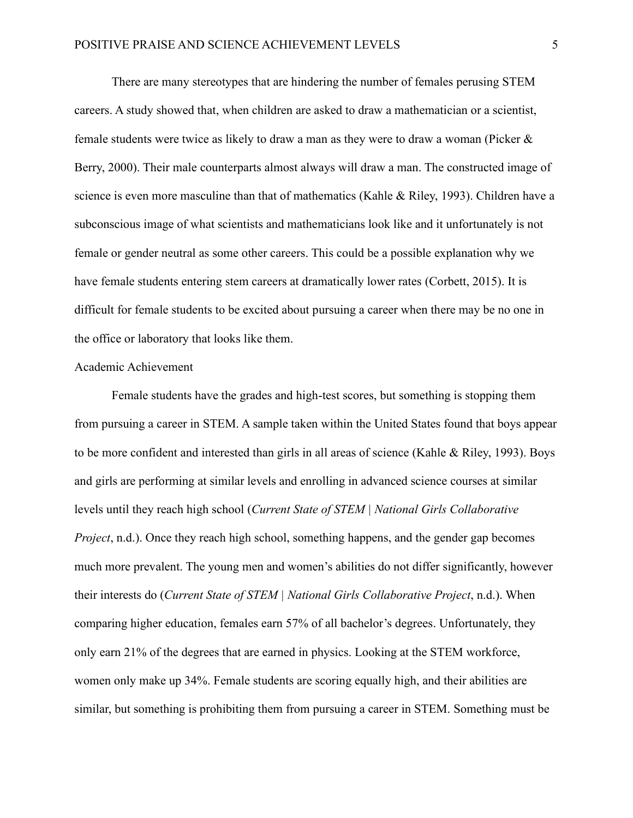There are many stereotypes that are hindering the number of females perusing STEM careers. A study showed that, when children are asked to draw a mathematician or a scientist, female students were twice as likely to draw a man as they were to draw a woman (Picker & Berry, 2000). Their male counterparts almost always will draw a man. The constructed image of science is even more masculine than that of mathematics (Kahle & Riley, 1993). Children have a subconscious image of what scientists and mathematicians look like and it unfortunately is not female or gender neutral as some other careers. This could be a possible explanation why we have female students entering stem careers at dramatically lower rates (Corbett, 2015). It is difficult for female students to be excited about pursuing a career when there may be no one in the office or laboratory that looks like them.

#### <span id="page-5-0"></span>Academic Achievement

Female students have the grades and high-test scores, but something is stopping them from pursuing a career in STEM. A sample taken within the United States found that boys appear to be more confident and interested than girls in all areas of science (Kahle & Riley, 1993). Boys and girls are performing at similar levels and enrolling in advanced science courses at similar levels until they reach high school (*Current State of STEM | National Girls Collaborative Project*, n.d.). Once they reach high school, something happens, and the gender gap becomes much more prevalent. The young men and women's abilities do not differ significantly, however their interests do (*Current State of STEM | National Girls Collaborative Project*, n.d.). When comparing higher education, females earn 57% of all bachelor's degrees. Unfortunately, they only earn 21% of the degrees that are earned in physics. Looking at the STEM workforce, women only make up 34%. Female students are scoring equally high, and their abilities are similar, but something is prohibiting them from pursuing a career in STEM. Something must be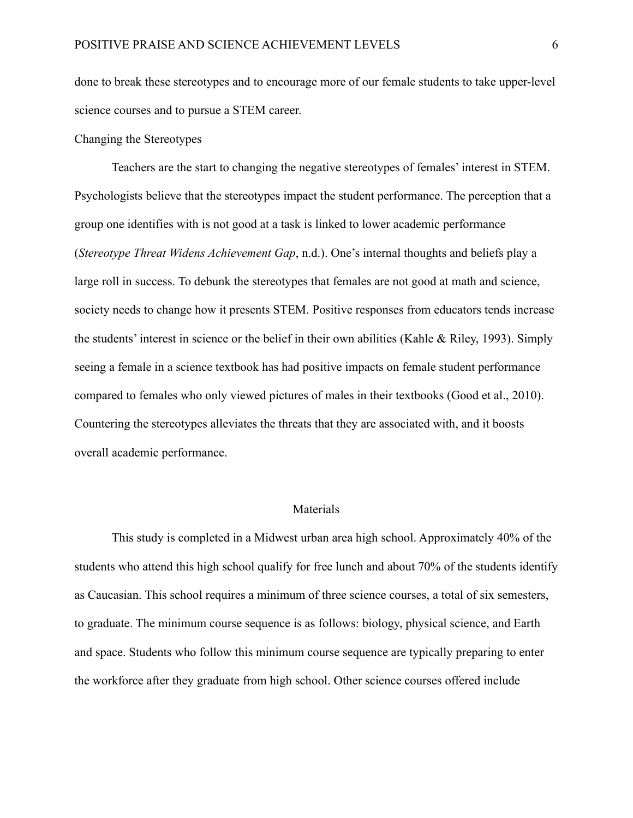done to break these stereotypes and to encourage more of our female students to take upper-level science courses and to pursue a STEM career.

### <span id="page-6-0"></span>Changing the Stereotypes

Teachers are the start to changing the negative stereotypes of females' interest in STEM. Psychologists believe that the stereotypes impact the student performance. The perception that a group one identifies with is not good at a task is linked to lower academic performance (*Stereotype Threat Widens Achievement Gap*, n.d.). One's internal thoughts and beliefs play a large roll in success. To debunk the stereotypes that females are not good at math and science, society needs to change how it presents STEM. Positive responses from educators tends increase the students' interest in science or the belief in their own abilities (Kahle & Riley, 1993). Simply seeing a female in a science textbook has had positive impacts on female student performance compared to females who only viewed pictures of males in their textbooks (Good et al., 2010). Countering the stereotypes alleviates the threats that they are associated with, and it boosts overall academic performance.

#### Materials

<span id="page-6-1"></span>This study is completed in a Midwest urban area high school. Approximately 40% of the students who attend this high school qualify for free lunch and about 70% of the students identify as Caucasian. This school requires a minimum of three science courses, a total of six semesters, to graduate. The minimum course sequence is as follows: biology, physical science, and Earth and space. Students who follow this minimum course sequence are typically preparing to enter the workforce after they graduate from high school. Other science courses offered include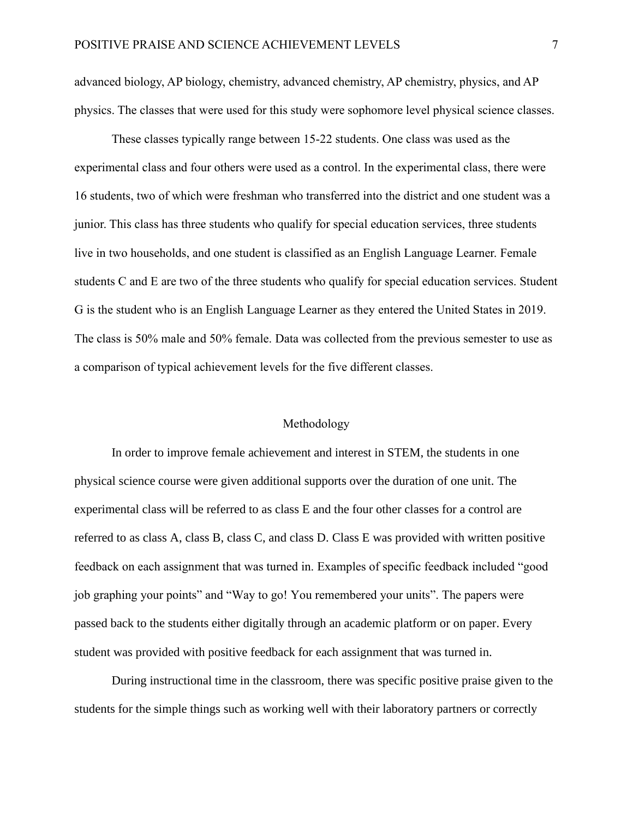advanced biology, AP biology, chemistry, advanced chemistry, AP chemistry, physics, and AP physics. The classes that were used for this study were sophomore level physical science classes.

These classes typically range between 15-22 students. One class was used as the experimental class and four others were used as a control. In the experimental class, there were 16 students, two of which were freshman who transferred into the district and one student was a junior. This class has three students who qualify for special education services, three students live in two households, and one student is classified as an English Language Learner. Female students C and E are two of the three students who qualify for special education services. Student G is the student who is an English Language Learner as they entered the United States in 2019. The class is 50% male and 50% female. Data was collected from the previous semester to use as a comparison of typical achievement levels for the five different classes.

#### Methodology

<span id="page-7-0"></span>In order to improve female achievement and interest in STEM, the students in one physical science course were given additional supports over the duration of one unit. The experimental class will be referred to as class E and the four other classes for a control are referred to as class A, class B, class C, and class D. Class E was provided with written positive feedback on each assignment that was turned in. Examples of specific feedback included "good job graphing your points" and "Way to go! You remembered your units". The papers were passed back to the students either digitally through an academic platform or on paper. Every student was provided with positive feedback for each assignment that was turned in.

During instructional time in the classroom, there was specific positive praise given to the students for the simple things such as working well with their laboratory partners or correctly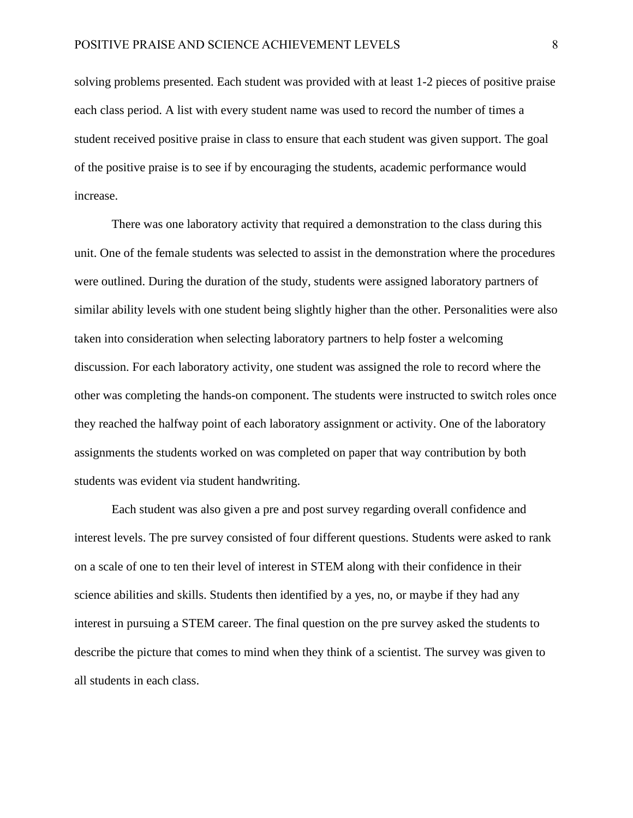solving problems presented. Each student was provided with at least 1-2 pieces of positive praise each class period. A list with every student name was used to record the number of times a student received positive praise in class to ensure that each student was given support. The goal of the positive praise is to see if by encouraging the students, academic performance would increase.

There was one laboratory activity that required a demonstration to the class during this unit. One of the female students was selected to assist in the demonstration where the procedures were outlined. During the duration of the study, students were assigned laboratory partners of similar ability levels with one student being slightly higher than the other. Personalities were also taken into consideration when selecting laboratory partners to help foster a welcoming discussion. For each laboratory activity, one student was assigned the role to record where the other was completing the hands-on component. The students were instructed to switch roles once they reached the halfway point of each laboratory assignment or activity. One of the laboratory assignments the students worked on was completed on paper that way contribution by both students was evident via student handwriting.

Each student was also given a pre and post survey regarding overall confidence and interest levels. The pre survey consisted of four different questions. Students were asked to rank on a scale of one to ten their level of interest in STEM along with their confidence in their science abilities and skills. Students then identified by a yes, no, or maybe if they had any interest in pursuing a STEM career. The final question on the pre survey asked the students to describe the picture that comes to mind when they think of a scientist. The survey was given to all students in each class.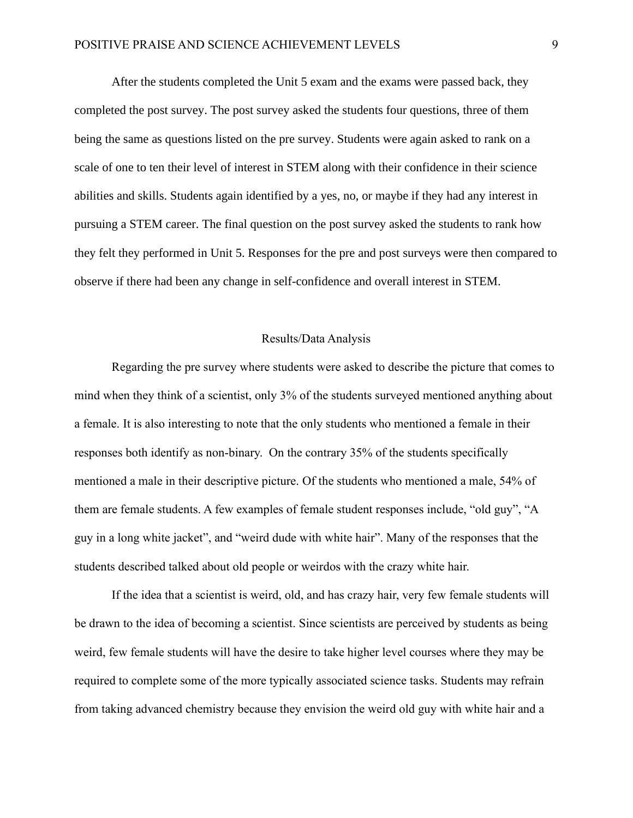After the students completed the Unit 5 exam and the exams were passed back, they completed the post survey. The post survey asked the students four questions, three of them being the same as questions listed on the pre survey. Students were again asked to rank on a scale of one to ten their level of interest in STEM along with their confidence in their science abilities and skills. Students again identified by a yes, no, or maybe if they had any interest in pursuing a STEM career. The final question on the post survey asked the students to rank how they felt they performed in Unit 5. Responses for the pre and post surveys were then compared to observe if there had been any change in self-confidence and overall interest in STEM.

#### Results/Data Analysis

<span id="page-9-0"></span>Regarding the pre survey where students were asked to describe the picture that comes to mind when they think of a scientist, only 3% of the students surveyed mentioned anything about a female. It is also interesting to note that the only students who mentioned a female in their responses both identify as non-binary. On the contrary 35% of the students specifically mentioned a male in their descriptive picture. Of the students who mentioned a male, 54% of them are female students. A few examples of female student responses include, "old guy", "A guy in a long white jacket", and "weird dude with white hair". Many of the responses that the students described talked about old people or weirdos with the crazy white hair.

If the idea that a scientist is weird, old, and has crazy hair, very few female students will be drawn to the idea of becoming a scientist. Since scientists are perceived by students as being weird, few female students will have the desire to take higher level courses where they may be required to complete some of the more typically associated science tasks. Students may refrain from taking advanced chemistry because they envision the weird old guy with white hair and a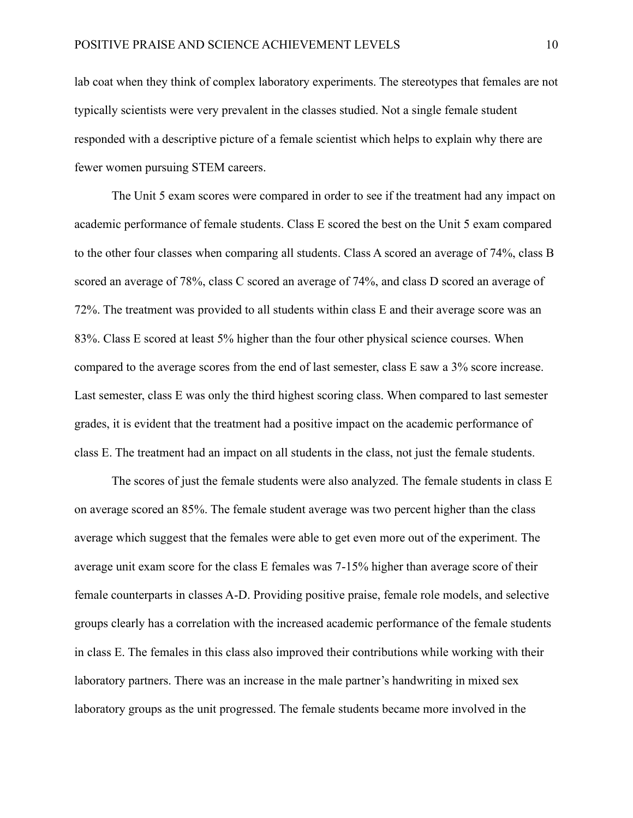lab coat when they think of complex laboratory experiments. The stereotypes that females are not typically scientists were very prevalent in the classes studied. Not a single female student responded with a descriptive picture of a female scientist which helps to explain why there are fewer women pursuing STEM careers.

The Unit 5 exam scores were compared in order to see if the treatment had any impact on academic performance of female students. Class E scored the best on the Unit 5 exam compared to the other four classes when comparing all students. Class A scored an average of 74%, class B scored an average of 78%, class C scored an average of 74%, and class D scored an average of 72%. The treatment was provided to all students within class E and their average score was an 83%. Class E scored at least 5% higher than the four other physical science courses. When compared to the average scores from the end of last semester, class E saw a 3% score increase. Last semester, class E was only the third highest scoring class. When compared to last semester grades, it is evident that the treatment had a positive impact on the academic performance of class E. The treatment had an impact on all students in the class, not just the female students.

The scores of just the female students were also analyzed. The female students in class E on average scored an 85%. The female student average was two percent higher than the class average which suggest that the females were able to get even more out of the experiment. The average unit exam score for the class E females was 7-15% higher than average score of their female counterparts in classes A-D. Providing positive praise, female role models, and selective groups clearly has a correlation with the increased academic performance of the female students in class E. The females in this class also improved their contributions while working with their laboratory partners. There was an increase in the male partner's handwriting in mixed sex laboratory groups as the unit progressed. The female students became more involved in the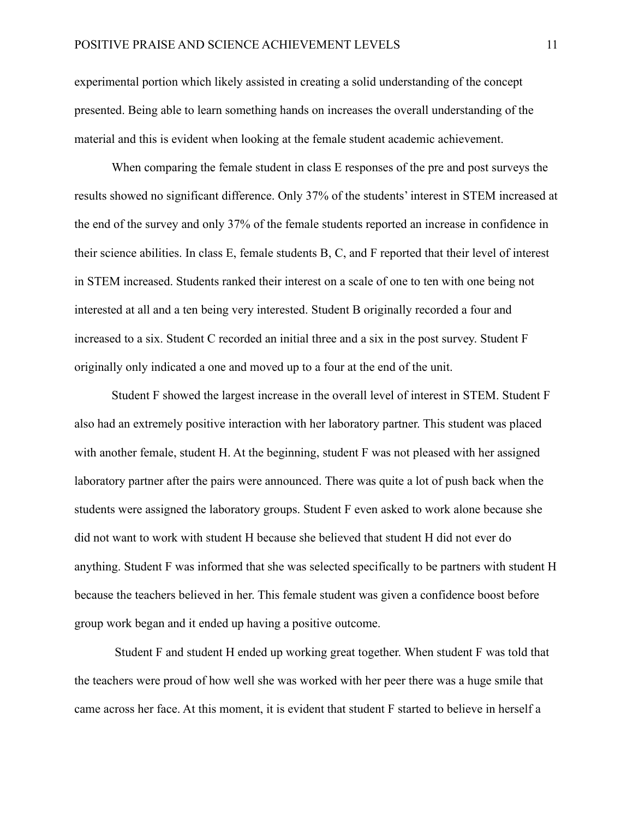experimental portion which likely assisted in creating a solid understanding of the concept presented. Being able to learn something hands on increases the overall understanding of the material and this is evident when looking at the female student academic achievement.

When comparing the female student in class E responses of the pre and post surveys the results showed no significant difference. Only 37% of the students' interest in STEM increased at the end of the survey and only 37% of the female students reported an increase in confidence in their science abilities. In class E, female students B, C, and F reported that their level of interest in STEM increased. Students ranked their interest on a scale of one to ten with one being not interested at all and a ten being very interested. Student B originally recorded a four and increased to a six. Student C recorded an initial three and a six in the post survey. Student F originally only indicated a one and moved up to a four at the end of the unit.

Student F showed the largest increase in the overall level of interest in STEM. Student F also had an extremely positive interaction with her laboratory partner. This student was placed with another female, student H. At the beginning, student F was not pleased with her assigned laboratory partner after the pairs were announced. There was quite a lot of push back when the students were assigned the laboratory groups. Student F even asked to work alone because she did not want to work with student H because she believed that student H did not ever do anything. Student F was informed that she was selected specifically to be partners with student H because the teachers believed in her. This female student was given a confidence boost before group work began and it ended up having a positive outcome.

Student F and student H ended up working great together. When student F was told that the teachers were proud of how well she was worked with her peer there was a huge smile that came across her face. At this moment, it is evident that student F started to believe in herself a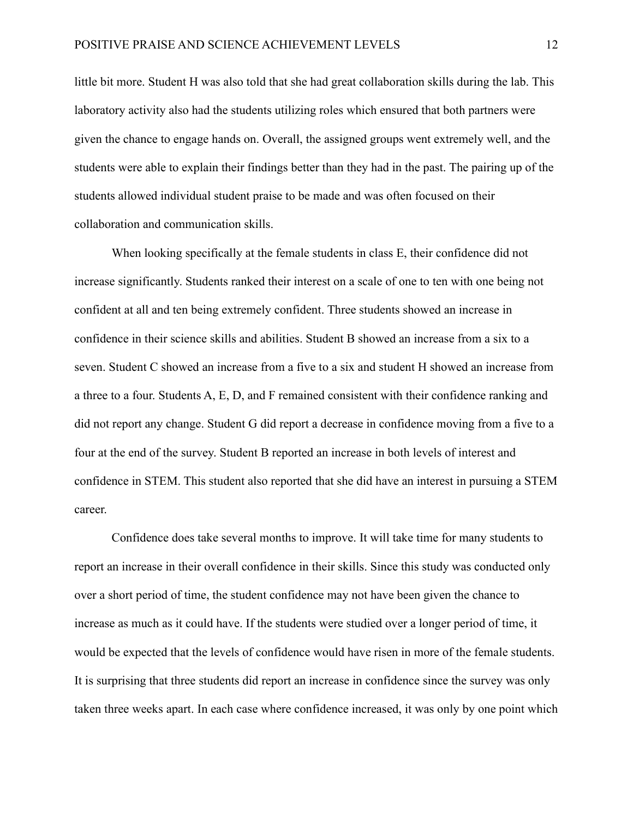little bit more. Student H was also told that she had great collaboration skills during the lab. This laboratory activity also had the students utilizing roles which ensured that both partners were given the chance to engage hands on. Overall, the assigned groups went extremely well, and the students were able to explain their findings better than they had in the past. The pairing up of the students allowed individual student praise to be made and was often focused on their collaboration and communication skills.

When looking specifically at the female students in class E, their confidence did not increase significantly. Students ranked their interest on a scale of one to ten with one being not confident at all and ten being extremely confident. Three students showed an increase in confidence in their science skills and abilities. Student B showed an increase from a six to a seven. Student C showed an increase from a five to a six and student H showed an increase from a three to a four. Students A, E, D, and F remained consistent with their confidence ranking and did not report any change. Student G did report a decrease in confidence moving from a five to a four at the end of the survey. Student B reported an increase in both levels of interest and confidence in STEM. This student also reported that she did have an interest in pursuing a STEM career.

Confidence does take several months to improve. It will take time for many students to report an increase in their overall confidence in their skills. Since this study was conducted only over a short period of time, the student confidence may not have been given the chance to increase as much as it could have. If the students were studied over a longer period of time, it would be expected that the levels of confidence would have risen in more of the female students. It is surprising that three students did report an increase in confidence since the survey was only taken three weeks apart. In each case where confidence increased, it was only by one point which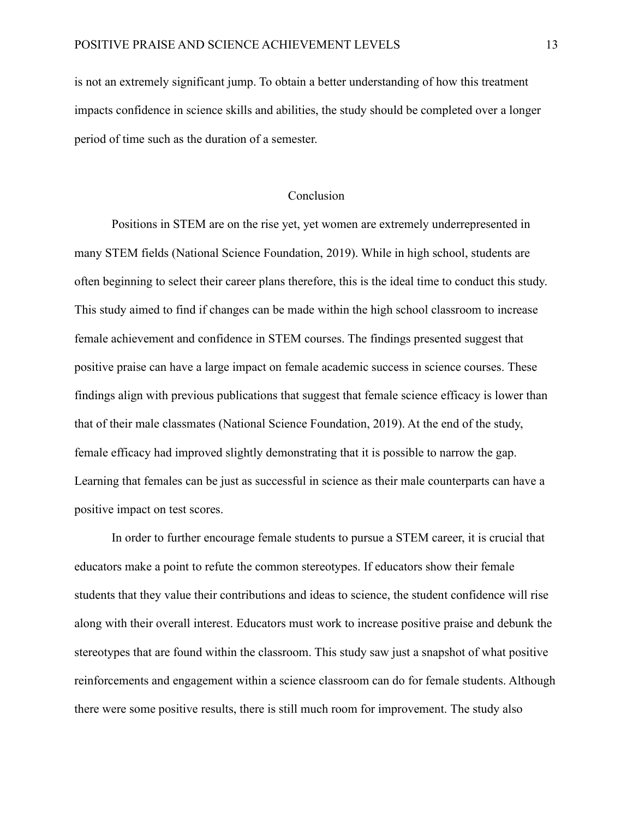is not an extremely significant jump. To obtain a better understanding of how this treatment impacts confidence in science skills and abilities, the study should be completed over a longer period of time such as the duration of a semester.

#### **Conclusion**

<span id="page-13-0"></span>Positions in STEM are on the rise yet, yet women are extremely underrepresented in many STEM fields (National Science Foundation, 2019). While in high school, students are often beginning to select their career plans therefore, this is the ideal time to conduct this study. This study aimed to find if changes can be made within the high school classroom to increase female achievement and confidence in STEM courses. The findings presented suggest that positive praise can have a large impact on female academic success in science courses. These findings align with previous publications that suggest that female science efficacy is lower than that of their male classmates (National Science Foundation, 2019). At the end of the study, female efficacy had improved slightly demonstrating that it is possible to narrow the gap. Learning that females can be just as successful in science as their male counterparts can have a positive impact on test scores.

In order to further encourage female students to pursue a STEM career, it is crucial that educators make a point to refute the common stereotypes. If educators show their female students that they value their contributions and ideas to science, the student confidence will rise along with their overall interest. Educators must work to increase positive praise and debunk the stereotypes that are found within the classroom. This study saw just a snapshot of what positive reinforcements and engagement within a science classroom can do for female students. Although there were some positive results, there is still much room for improvement. The study also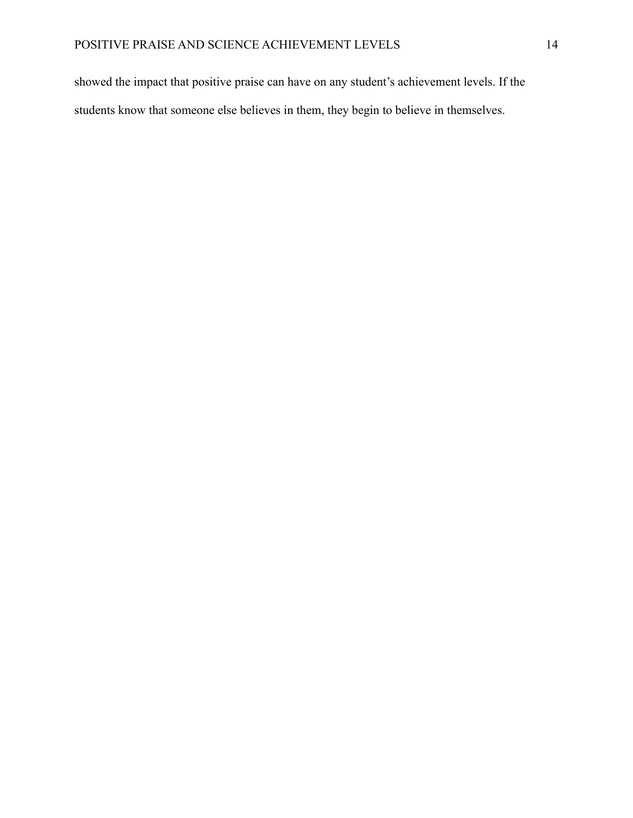showed the impact that positive praise can have on any student's achievement levels. If the students know that someone else believes in them, they begin to believe in themselves.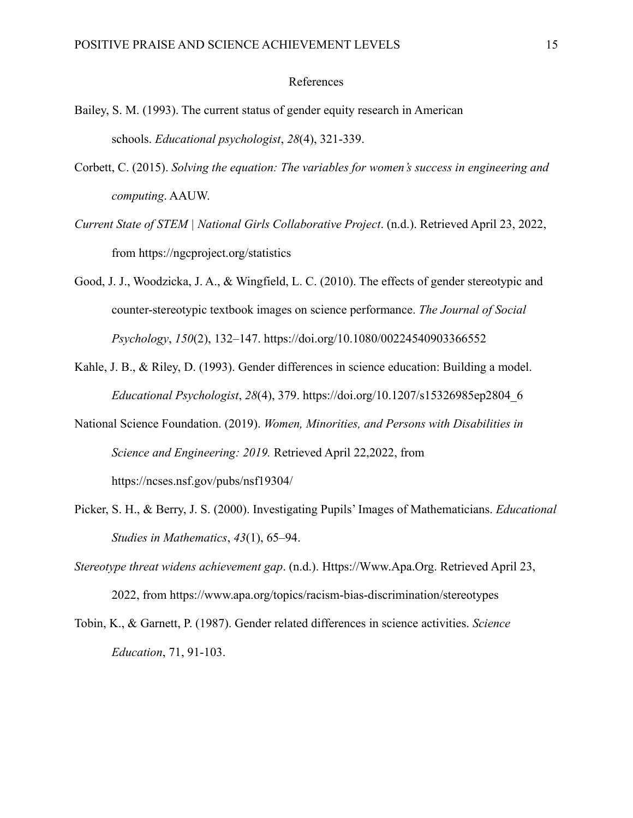#### References

- <span id="page-15-0"></span>Bailey, S. M. (1993). The current status of gender equity research in American schools. *Educational psychologist*, *28*(4), 321-339.
- Corbett, C. (2015). *Solving the equation: The variables for women's success in engineering and computing*. AAUW.
- *Current State of STEM | National Girls Collaborative Project*. (n.d.). Retrieved April 23, 2022, from https://ngcproject.org/statistics
- Good, J. J., Woodzicka, J. A., & Wingfield, L. C. (2010). The effects of gender stereotypic and counter-stereotypic textbook images on science performance. *The Journal of Social Psychology*, *150*(2), 132–147. https://doi.org/10.1080/00224540903366552
- Kahle, J. B., & Riley, D. (1993). Gender differences in science education: Building a model. *Educational Psychologist*, *28*(4), 379. https://doi.org/10.1207/s15326985ep2804\_6
- National Science Foundation. (2019). *Women, Minorities, and Persons with Disabilities in Science and Engineering: 2019.* Retrieved April 22,2022, from https://ncses.nsf.gov/pubs/nsf19304/
- Picker, S. H., & Berry, J. S. (2000). Investigating Pupils' Images of Mathematicians. *Educational Studies in Mathematics*, *43*(1), 65–94.
- *Stereotype threat widens achievement gap*. (n.d.). Https://Www.Apa.Org. Retrieved April 23, 2022, from https://www.apa.org/topics/racism-bias-discrimination/stereotypes
- Tobin, K., & Garnett, P. (1987). Gender related differences in science activities. *Science Education*, 71, 91-103.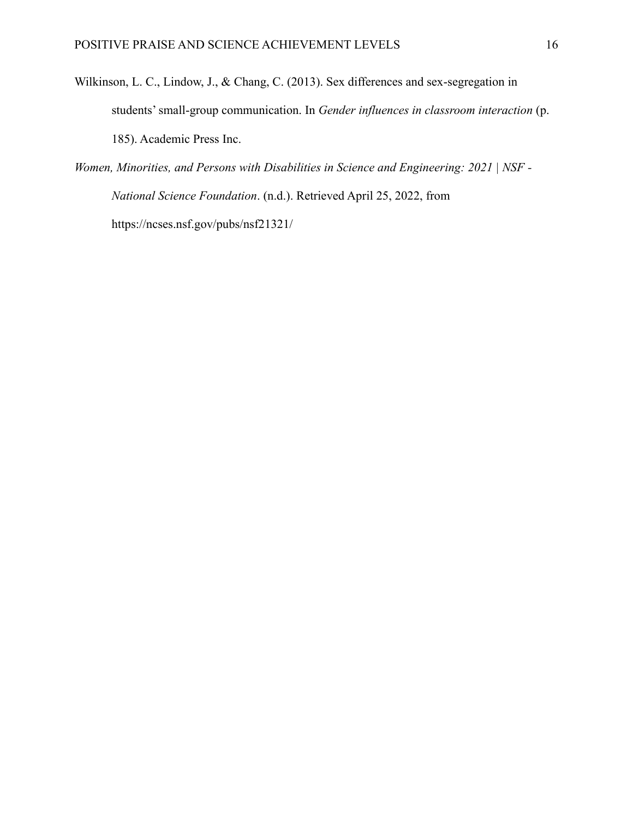- Wilkinson, L. C., Lindow, J., & Chang, C. (2013). Sex differences and sex-segregation in students' small-group communication. In *Gender influences in classroom interaction* (p. 185). Academic Press Inc.
- *Women, Minorities, and Persons with Disabilities in Science and Engineering: 2021 | NSF - National Science Foundation*. (n.d.). Retrieved April 25, 2022, from https://ncses.nsf.gov/pubs/nsf21321/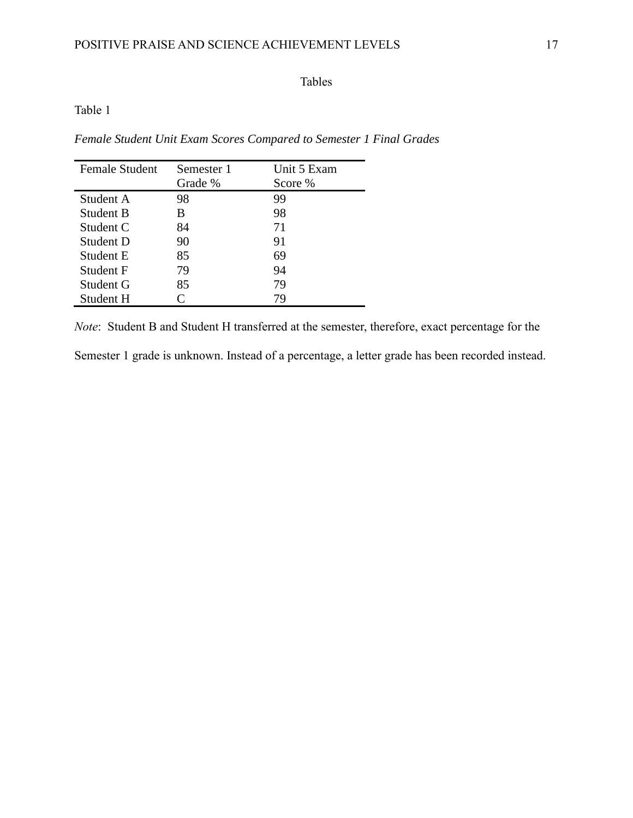## Tables

## <span id="page-17-1"></span><span id="page-17-0"></span>Table 1

*Female Student Unit Exam Scores Compared to Semester 1 Final Grades*

| <b>Female Student</b> | Semester 1 | Unit 5 Exam |  |
|-----------------------|------------|-------------|--|
|                       | Grade %    | Score %     |  |
| Student A             | 98         | 99          |  |
| Student B             | B          | 98          |  |
| Student C             | 84         | 71          |  |
| Student D             | 90         | 91          |  |
| Student E             | 85         | 69          |  |
| Student F             | 79         | 94          |  |
| Student G             | 85         | 79          |  |
| Student H             | C          | 79          |  |

*Note*: Student B and Student H transferred at the semester, therefore, exact percentage for the

Semester 1 grade is unknown. Instead of a percentage, a letter grade has been recorded instead.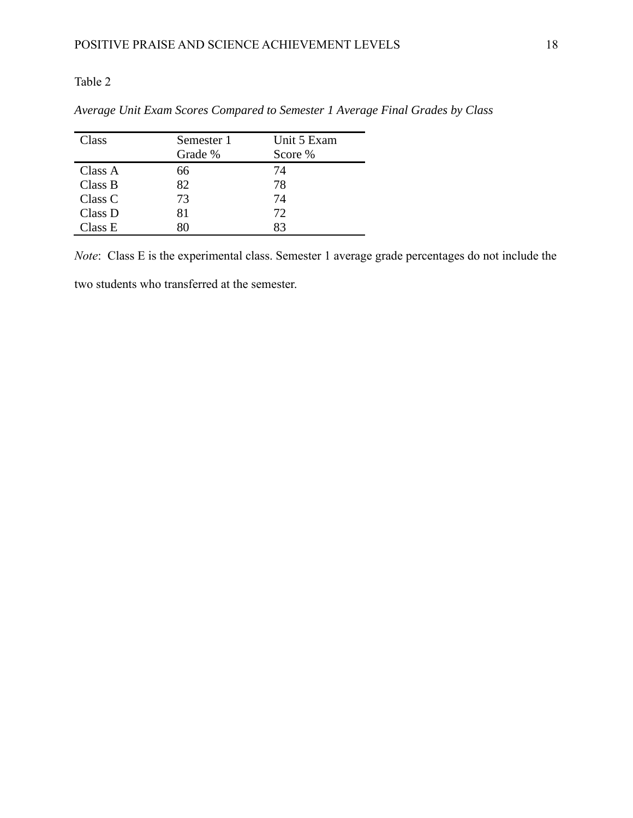## <span id="page-18-0"></span>Table 2

| Class   | Unit 5 Exam<br>Semester 1 |         |
|---------|---------------------------|---------|
|         | Grade %                   | Score % |
| Class A | 66                        | 74      |
| Class B | 82                        | 78      |
| Class C | 73                        | 74      |
| Class D | 81                        | 72      |
| Class E | ረ( )                      | 83      |

*Average Unit Exam Scores Compared to Semester 1 Average Final Grades by Class*

*Note*: Class E is the experimental class. Semester 1 average grade percentages do not include the

two students who transferred at the semester.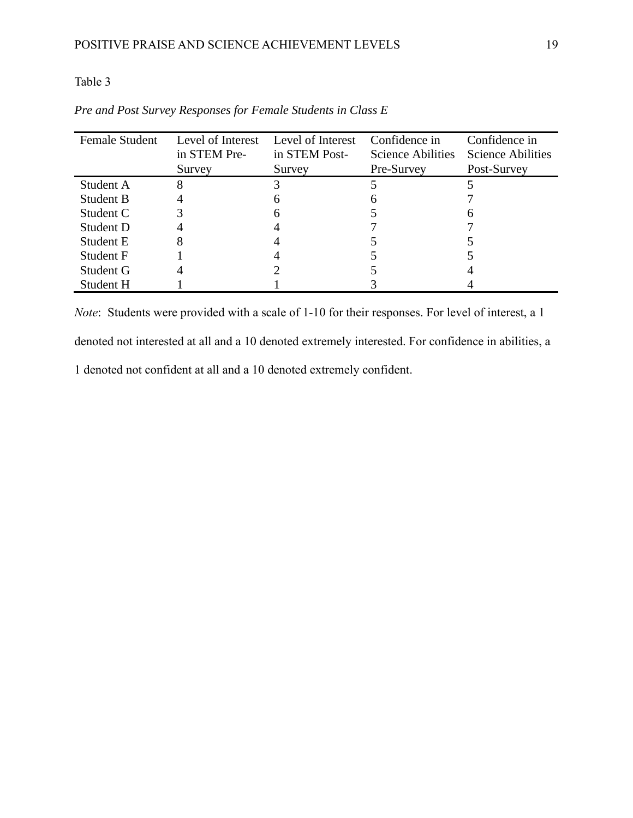## <span id="page-19-0"></span>Table 3

| <b>Female Student</b> | Level of Interest | Level of Interest | Confidence in            | Confidence in     |
|-----------------------|-------------------|-------------------|--------------------------|-------------------|
|                       | in STEM Pre-      | in STEM Post-     | <b>Science Abilities</b> | Science Abilities |
|                       | Survey            | Survey            | Pre-Survey               | Post-Survey       |
| Student A             | 8                 |                   |                          |                   |
| Student B             |                   | h                 | n                        |                   |
| Student C             |                   |                   |                          |                   |
| Student D             |                   |                   |                          |                   |
| Student E             | 8                 |                   |                          |                   |
| Student F             |                   |                   |                          |                   |
| Student G             |                   |                   |                          |                   |
| Student H             |                   |                   |                          |                   |

*Pre and Post Survey Responses for Female Students in Class E*

*Note*: Students were provided with a scale of 1-10 for their responses. For level of interest, a 1

denoted not interested at all and a 10 denoted extremely interested. For confidence in abilities, a

1 denoted not confident at all and a 10 denoted extremely confident.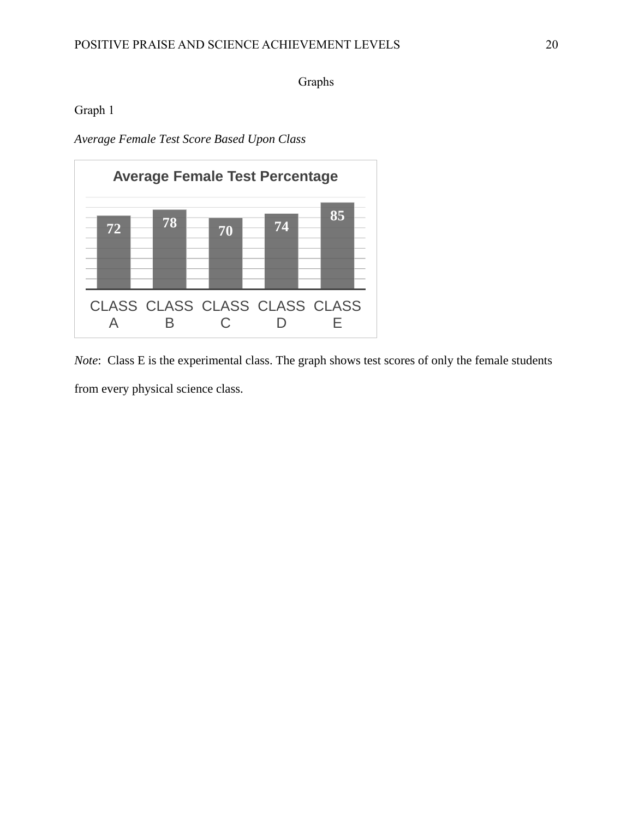Graphs

<span id="page-20-1"></span><span id="page-20-0"></span>Graph 1

*Average Female Test Score Based Upon Class*



*Note*: Class E is the experimental class. The graph shows test scores of only the female students from every physical science class.